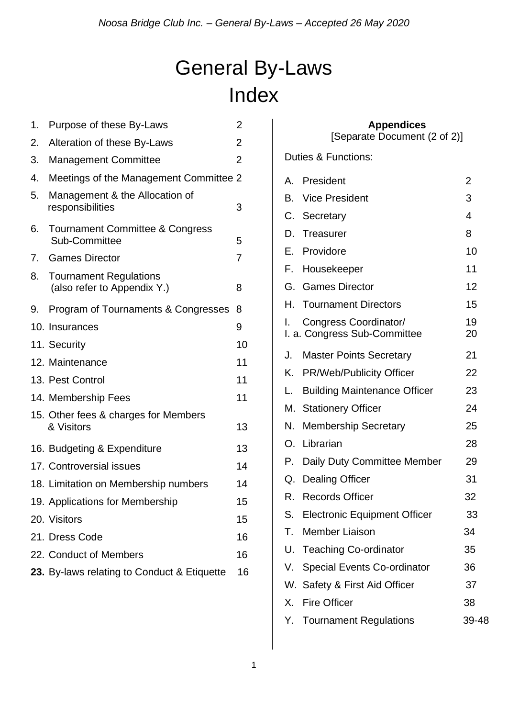# General By-Laws Index

| 1. | Purpose of these By-Laws                                     | $\overline{2}$ |    |                               |
|----|--------------------------------------------------------------|----------------|----|-------------------------------|
| 2. | Alteration of these By-Laws                                  | $\overline{2}$ |    | [Separa                       |
| 3. | <b>Management Committee</b>                                  | $\overline{2}$ |    | <b>Duties &amp; Functions</b> |
| 4. | Meetings of the Management Committee 2                       |                | A. | President                     |
| 5. | Management & the Allocation of<br>responsibilities           | 3              | В. | Vice President                |
|    |                                                              |                |    | C. Secretary                  |
| 6. | <b>Tournament Committee &amp; Congress</b><br>Sub-Committee  | 5              | D. | <b>Treasurer</b>              |
| 7. | <b>Games Director</b>                                        | $\overline{7}$ | F. | Providore                     |
| 8. |                                                              |                |    | F. Housekeeper                |
|    | <b>Tournament Regulations</b><br>(also refer to Appendix Y.) | 8              |    | G. Games Directo              |
| 9. | Program of Tournaments & Congresses                          | 8              | Н. | <b>Tournament D</b>           |
|    | 10. Insurances                                               | 9              |    | Congress Coo                  |
|    | 11. Security                                                 | 10             |    | I. a. Congress Sub            |
|    | 12. Maintenance                                              | 11             | J. | <b>Master Points</b>          |
|    | 13. Pest Control                                             | 11             |    | K. PR/Web/Publi               |
|    | 14. Membership Fees                                          | 11             | L. | <b>Building Maint</b>         |
|    | 15. Other fees & charges for Members<br>& Visitors           |                |    | M. Stationery Offi            |
|    |                                                              | 13             | N. | <b>Membership S</b>           |
|    | 16. Budgeting & Expenditure                                  | 13             |    | O. Librarian                  |
|    | 17. Controversial issues                                     | 14             |    | P. Daily Duty Cor             |
|    | 18. Limitation on Membership numbers                         | 14             | Q. | <b>Dealing Office</b>         |
|    | 19. Applications for Membership                              | 15             | R. | <b>Records Office</b>         |
|    | 20. Visitors                                                 | 15             | S. | Electronic Equ                |
|    | 21. Dress Code                                               | 16             | Т. | <b>Member Liaiso</b>          |
|    | 22. Conduct of Members                                       | 16             | U. | Teaching Co-d                 |
|    | 23. By-laws relating to Conduct & Etiquette                  | 16             |    | V. Special Events             |
|    |                                                              |                |    |                               |

#### **Appendices**

[Separate Document (2 of 2)]

Duties & Functions:

|    | A. President                                          | $\overline{2}$ |
|----|-------------------------------------------------------|----------------|
|    | <b>B.</b> Vice President                              | 3              |
|    | C. Secretary                                          | 4              |
|    | D. Treasurer                                          | 8              |
|    | E. Providore                                          | 10             |
| F. | Housekeeper                                           | 11             |
|    | G. Games Director                                     | 12             |
|    | H. Tournament Directors                               | 15             |
| L. | Congress Coordinator/<br>I. a. Congress Sub-Committee | 19<br>20       |
| J. | <b>Master Points Secretary</b>                        | 21             |
| Κ. | <b>PR/Web/Publicity Officer</b>                       | 22             |
| L. | <b>Building Maintenance Officer</b>                   | 23             |
|    | M. Stationery Officer                                 | 24             |
| N. | <b>Membership Secretary</b>                           | 25             |
|    | O. Librarian                                          | 28             |
| Р. | Daily Duty Committee Member                           | 29             |
| Q. | <b>Dealing Officer</b>                                | 31             |
|    | R. Records Officer                                    | 32             |
| S. | <b>Electronic Equipment Officer</b>                   | 33             |
| Т. | <b>Member Liaison</b>                                 | 34             |
| U. | <b>Teaching Co-ordinator</b>                          | 35             |
| V. | <b>Special Events Co-ordinator</b>                    | 36             |
|    | W. Safety & First Aid Officer                         | 37             |
| Х. | <b>Fire Officer</b>                                   | 38             |
|    | Y. Tournament Regulations                             | 39-48          |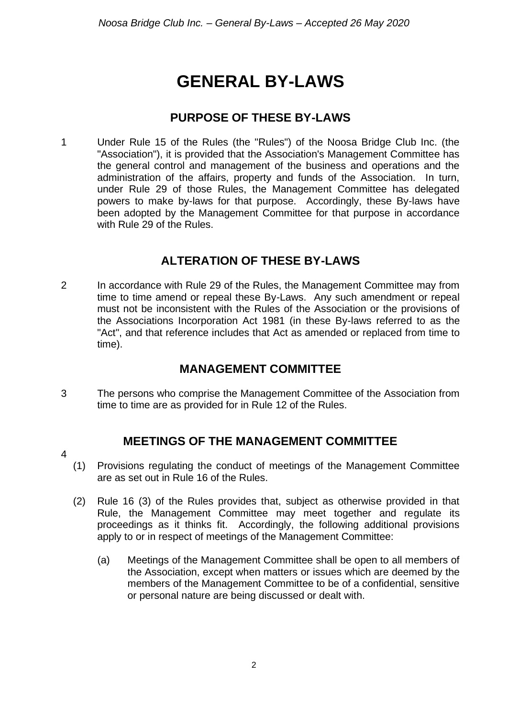# **GENERAL BY-LAWS**

### **PURPOSE OF THESE BY-LAWS**

1 Under Rule 15 of the Rules (the "Rules") of the Noosa Bridge Club Inc. (the "Association"), it is provided that the Association's Management Committee has the general control and management of the business and operations and the administration of the affairs, property and funds of the Association. In turn, under Rule 29 of those Rules, the Management Committee has delegated powers to make by-laws for that purpose. Accordingly, these By-laws have been adopted by the Management Committee for that purpose in accordance with Rule 29 of the Rules.

## **ALTERATION OF THESE BY-LAWS**

2 In accordance with Rule 29 of the Rules, the Management Committee may from time to time amend or repeal these By-Laws. Any such amendment or repeal must not be inconsistent with the Rules of the Association or the provisions of the Associations Incorporation Act 1981 (in these By-laws referred to as the "Act", and that reference includes that Act as amended or replaced from time to time).

#### **MANAGEMENT COMMITTEE**

3 The persons who comprise the Management Committee of the Association from time to time are as provided for in Rule 12 of the Rules.

#### **MEETINGS OF THE MANAGEMENT COMMITTEE**

- 4
- (1) Provisions regulating the conduct of meetings of the Management Committee are as set out in Rule 16 of the Rules.
- (2) Rule 16 (3) of the Rules provides that, subject as otherwise provided in that Rule, the Management Committee may meet together and regulate its proceedings as it thinks fit. Accordingly, the following additional provisions apply to or in respect of meetings of the Management Committee:
	- (a) Meetings of the Management Committee shall be open to all members of the Association, except when matters or issues which are deemed by the members of the Management Committee to be of a confidential, sensitive or personal nature are being discussed or dealt with.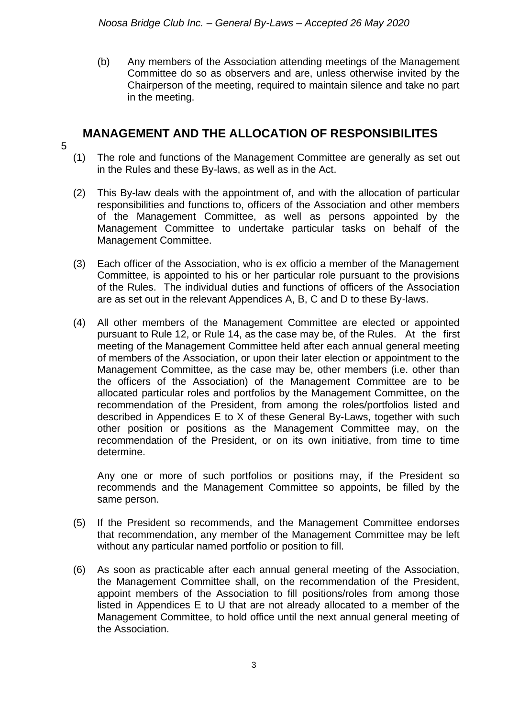(b) Any members of the Association attending meetings of the Management Committee do so as observers and are, unless otherwise invited by the Chairperson of the meeting, required to maintain silence and take no part in the meeting.

#### **MANAGEMENT AND THE ALLOCATION OF RESPONSIBILITES**

- 5
- (1) The role and functions of the Management Committee are generally as set out in the Rules and these By-laws, as well as in the Act.
- (2) This By-law deals with the appointment of, and with the allocation of particular responsibilities and functions to, officers of the Association and other members of the Management Committee, as well as persons appointed by the Management Committee to undertake particular tasks on behalf of the Management Committee.
- (3) Each officer of the Association, who is ex officio a member of the Management Committee, is appointed to his or her particular role pursuant to the provisions of the Rules. The individual duties and functions of officers of the Association are as set out in the relevant Appendices A, B, C and D to these By-laws.
- (4) All other members of the Management Committee are elected or appointed pursuant to Rule 12, or Rule 14, as the case may be, of the Rules. At the first meeting of the Management Committee held after each annual general meeting of members of the Association, or upon their later election or appointment to the Management Committee, as the case may be, other members (i.e. other than the officers of the Association) of the Management Committee are to be allocated particular roles and portfolios by the Management Committee, on the recommendation of the President, from among the roles/portfolios listed and described in Appendices E to X of these General By-Laws, together with such other position or positions as the Management Committee may, on the recommendation of the President, or on its own initiative, from time to time determine.

Any one or more of such portfolios or positions may, if the President so recommends and the Management Committee so appoints, be filled by the same person.

- (5) If the President so recommends, and the Management Committee endorses that recommendation, any member of the Management Committee may be left without any particular named portfolio or position to fill.
- (6) As soon as practicable after each annual general meeting of the Association, the Management Committee shall, on the recommendation of the President, appoint members of the Association to fill positions/roles from among those listed in Appendices E to U that are not already allocated to a member of the Management Committee, to hold office until the next annual general meeting of the Association.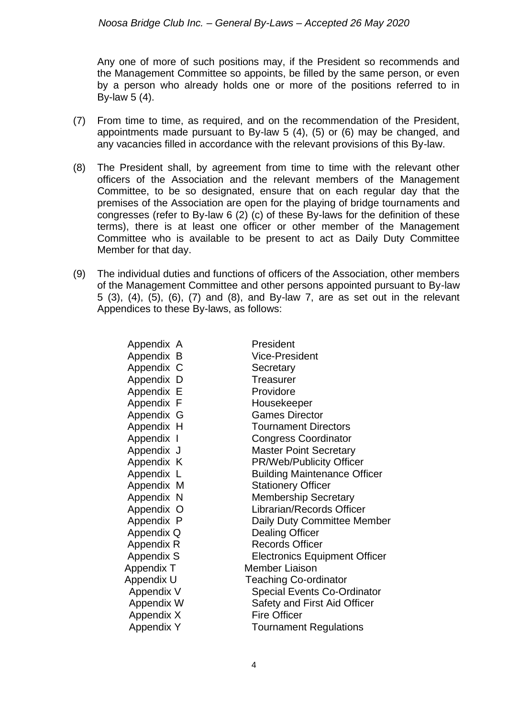Any one of more of such positions may, if the President so recommends and the Management Committee so appoints, be filled by the same person, or even by a person who already holds one or more of the positions referred to in By-law 5 (4).

- (7) From time to time, as required, and on the recommendation of the President, appointments made pursuant to By-law 5 (4), (5) or (6) may be changed, and any vacancies filled in accordance with the relevant provisions of this By-law.
- (8) The President shall, by agreement from time to time with the relevant other officers of the Association and the relevant members of the Management Committee, to be so designated, ensure that on each regular day that the premises of the Association are open for the playing of bridge tournaments and congresses (refer to By-law 6 (2) (c) of these By-laws for the definition of these terms), there is at least one officer or other member of the Management Committee who is available to be present to act as Daily Duty Committee Member for that day.
- (9) The individual duties and functions of officers of the Association, other members of the Management Committee and other persons appointed pursuant to By-law 5 (3), (4), (5), (6), (7) and (8), and By-law 7, are as set out in the relevant Appendices to these By-laws, as follows:

| Appendix A        | President                            |
|-------------------|--------------------------------------|
| Appendix B        | <b>Vice-President</b>                |
| Appendix C        | Secretary                            |
| Appendix D        | <b>Treasurer</b>                     |
| Appendix E        | Providore                            |
| Appendix F        | Housekeeper                          |
| Appendix G        | <b>Games Director</b>                |
| Appendix H        | <b>Tournament Directors</b>          |
| Appendix I        | <b>Congress Coordinator</b>          |
| Appendix J        | <b>Master Point Secretary</b>        |
| Appendix K        | PR/Web/Publicity Officer             |
| Appendix L        | <b>Building Maintenance Officer</b>  |
| Appendix M        | <b>Stationery Officer</b>            |
| Appendix N        | <b>Membership Secretary</b>          |
| Appendix O        | Librarian/Records Officer            |
| Appendix P        | Daily Duty Committee Member          |
| Appendix Q        | <b>Dealing Officer</b>               |
| Appendix R        | <b>Records Officer</b>               |
| <b>Appendix S</b> | <b>Electronics Equipment Officer</b> |
| Appendix T        | <b>Member Liaison</b>                |
| Appendix U        | <b>Teaching Co-ordinator</b>         |
| Appendix V        | <b>Special Events Co-Ordinator</b>   |
| Appendix W        | Safety and First Aid Officer         |
| Appendix X        | <b>Fire Officer</b>                  |
| <b>Appendix Y</b> | <b>Tournament Regulations</b>        |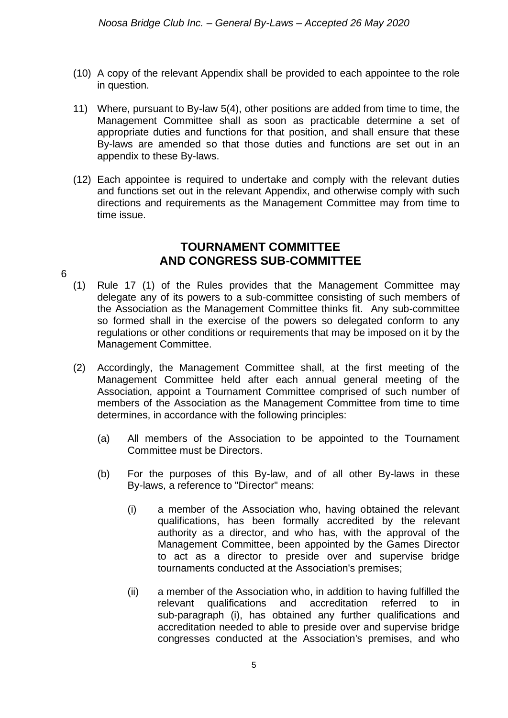- (10) A copy of the relevant Appendix shall be provided to each appointee to the role in question.
- 11) Where, pursuant to By-law 5(4), other positions are added from time to time, the Management Committee shall as soon as practicable determine a set of appropriate duties and functions for that position, and shall ensure that these By-laws are amended so that those duties and functions are set out in an appendix to these By-laws.
- (12) Each appointee is required to undertake and comply with the relevant duties and functions set out in the relevant Appendix, and otherwise comply with such directions and requirements as the Management Committee may from time to time issue.

#### **TOURNAMENT COMMITTEE AND CONGRESS SUB-COMMITTEE**

- 6
	- (1) Rule 17 (1) of the Rules provides that the Management Committee may delegate any of its powers to a sub-committee consisting of such members of the Association as the Management Committee thinks fit. Any sub-committee so formed shall in the exercise of the powers so delegated conform to any regulations or other conditions or requirements that may be imposed on it by the Management Committee.
	- (2) Accordingly, the Management Committee shall, at the first meeting of the Management Committee held after each annual general meeting of the Association, appoint a Tournament Committee comprised of such number of members of the Association as the Management Committee from time to time determines, in accordance with the following principles:
		- (a) All members of the Association to be appointed to the Tournament Committee must be Directors.
		- (b) For the purposes of this By-law, and of all other By-laws in these By-laws, a reference to "Director" means:
			- (i) a member of the Association who, having obtained the relevant qualifications, has been formally accredited by the relevant authority as a director, and who has, with the approval of the Management Committee, been appointed by the Games Director to act as a director to preside over and supervise bridge tournaments conducted at the Association's premises;
			- (ii) a member of the Association who, in addition to having fulfilled the relevant qualifications and accreditation referred to in sub-paragraph (i), has obtained any further qualifications and accreditation needed to able to preside over and supervise bridge congresses conducted at the Association's premises, and who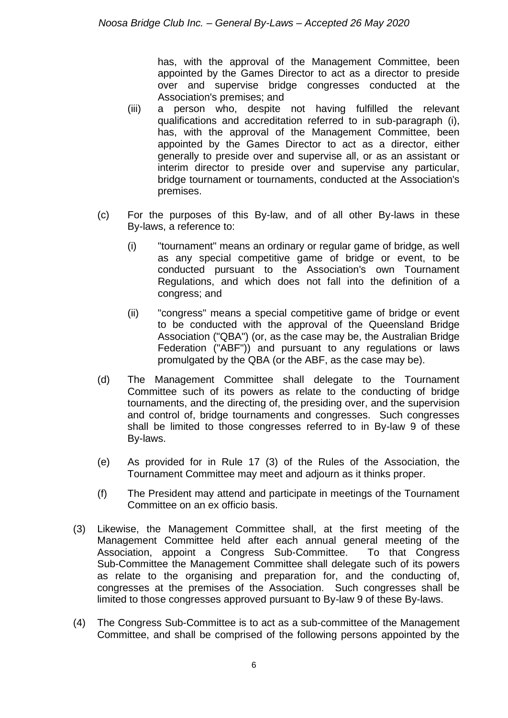has, with the approval of the Management Committee, been appointed by the Games Director to act as a director to preside over and supervise bridge congresses conducted at the Association's premises; and

- (iii) a person who, despite not having fulfilled the relevant qualifications and accreditation referred to in sub-paragraph (i), has, with the approval of the Management Committee, been appointed by the Games Director to act as a director, either generally to preside over and supervise all, or as an assistant or interim director to preside over and supervise any particular, bridge tournament or tournaments, conducted at the Association's premises.
- (c) For the purposes of this By-law, and of all other By-laws in these By-laws, a reference to:
	- (i) "tournament" means an ordinary or regular game of bridge, as well as any special competitive game of bridge or event, to be conducted pursuant to the Association's own Tournament Regulations, and which does not fall into the definition of a congress; and
	- (ii) "congress" means a special competitive game of bridge or event to be conducted with the approval of the Queensland Bridge Association ("QBA") (or, as the case may be, the Australian Bridge Federation ("ABF")) and pursuant to any regulations or laws promulgated by the QBA (or the ABF, as the case may be).
- (d) The Management Committee shall delegate to the Tournament Committee such of its powers as relate to the conducting of bridge tournaments, and the directing of, the presiding over, and the supervision and control of, bridge tournaments and congresses. Such congresses shall be limited to those congresses referred to in By-law 9 of these By-laws.
- (e) As provided for in Rule 17 (3) of the Rules of the Association, the Tournament Committee may meet and adjourn as it thinks proper.
- (f) The President may attend and participate in meetings of the Tournament Committee on an ex officio basis.
- (3) Likewise, the Management Committee shall, at the first meeting of the Management Committee held after each annual general meeting of the Association, appoint a Congress Sub-Committee. To that Congress Sub-Committee the Management Committee shall delegate such of its powers as relate to the organising and preparation for, and the conducting of, congresses at the premises of the Association. Such congresses shall be limited to those congresses approved pursuant to By-law 9 of these By-laws.
- (4) The Congress Sub-Committee is to act as a sub-committee of the Management Committee, and shall be comprised of the following persons appointed by the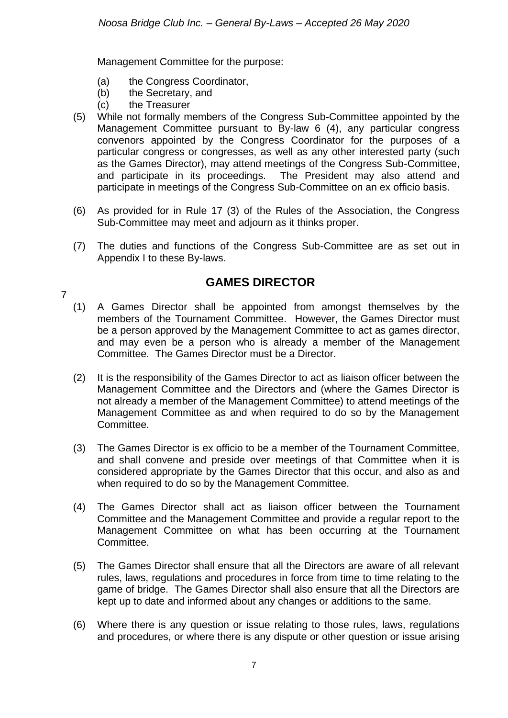Management Committee for the purpose:

- (a) the Congress Coordinator,
- (b) the Secretary, and
- (c) the Treasurer

7

- (5) While not formally members of the Congress Sub-Committee appointed by the Management Committee pursuant to By-law 6 (4), any particular congress convenors appointed by the Congress Coordinator for the purposes of a particular congress or congresses, as well as any other interested party (such as the Games Director), may attend meetings of the Congress Sub-Committee, and participate in its proceedings. The President may also attend and participate in meetings of the Congress Sub-Committee on an ex officio basis.
- (6) As provided for in Rule 17 (3) of the Rules of the Association, the Congress Sub-Committee may meet and adjourn as it thinks proper.
- (7) The duties and functions of the Congress Sub-Committee are as set out in Appendix I to these By-laws.

#### **GAMES DIRECTOR**

- (1) A Games Director shall be appointed from amongst themselves by the members of the Tournament Committee. However, the Games Director must be a person approved by the Management Committee to act as games director, and may even be a person who is already a member of the Management Committee. The Games Director must be a Director.
- (2) It is the responsibility of the Games Director to act as liaison officer between the Management Committee and the Directors and (where the Games Director is not already a member of the Management Committee) to attend meetings of the Management Committee as and when required to do so by the Management Committee.
- (3) The Games Director is ex officio to be a member of the Tournament Committee, and shall convene and preside over meetings of that Committee when it is considered appropriate by the Games Director that this occur, and also as and when required to do so by the Management Committee.
- (4) The Games Director shall act as liaison officer between the Tournament Committee and the Management Committee and provide a regular report to the Management Committee on what has been occurring at the Tournament Committee.
- (5) The Games Director shall ensure that all the Directors are aware of all relevant rules, laws, regulations and procedures in force from time to time relating to the game of bridge. The Games Director shall also ensure that all the Directors are kept up to date and informed about any changes or additions to the same.
- (6) Where there is any question or issue relating to those rules, laws, regulations and procedures, or where there is any dispute or other question or issue arising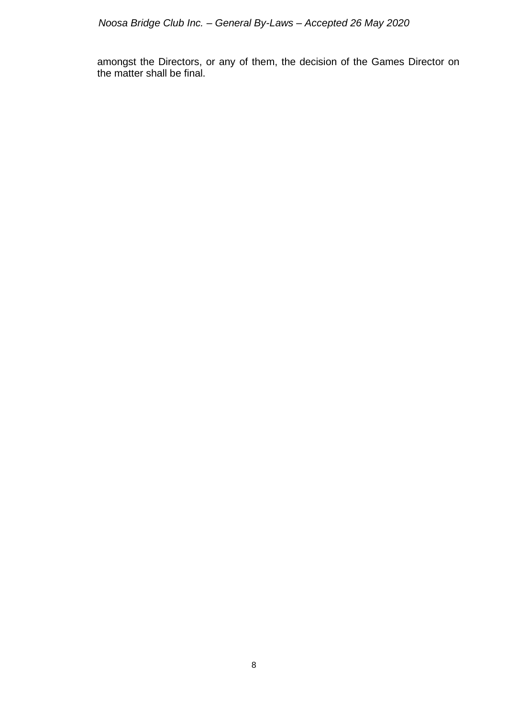amongst the Directors, or any of them, the decision of the Games Director on the matter shall be final.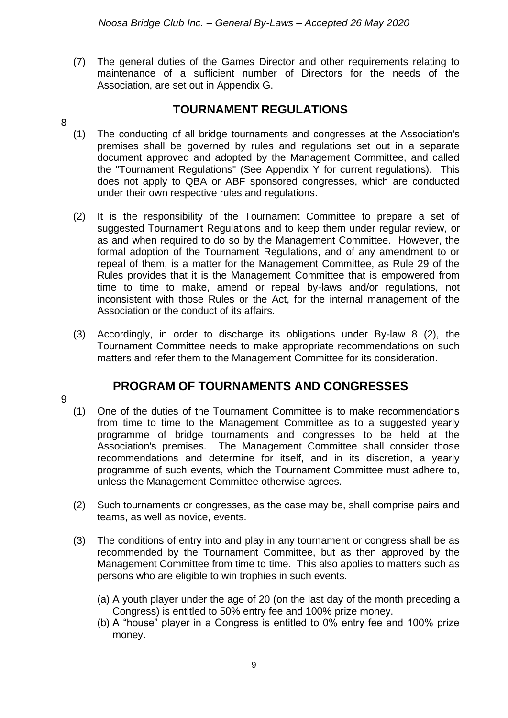(7) The general duties of the Games Director and other requirements relating to maintenance of a sufficient number of Directors for the needs of the Association, are set out in Appendix G.

#### **TOURNAMENT REGULATIONS**

- 8
	- (1) The conducting of all bridge tournaments and congresses at the Association's premises shall be governed by rules and regulations set out in a separate document approved and adopted by the Management Committee, and called the "Tournament Regulations" (See Appendix Y for current regulations). This does not apply to QBA or ABF sponsored congresses, which are conducted under their own respective rules and regulations.
	- (2) It is the responsibility of the Tournament Committee to prepare a set of suggested Tournament Regulations and to keep them under regular review, or as and when required to do so by the Management Committee. However, the formal adoption of the Tournament Regulations, and of any amendment to or repeal of them, is a matter for the Management Committee, as Rule 29 of the Rules provides that it is the Management Committee that is empowered from time to time to make, amend or repeal by-laws and/or regulations, not inconsistent with those Rules or the Act, for the internal management of the Association or the conduct of its affairs.
	- (3) Accordingly, in order to discharge its obligations under By-law 8 (2), the Tournament Committee needs to make appropriate recommendations on such matters and refer them to the Management Committee for its consideration.

#### **PROGRAM OF TOURNAMENTS AND CONGRESSES**

9

- (1) One of the duties of the Tournament Committee is to make recommendations from time to time to the Management Committee as to a suggested yearly programme of bridge tournaments and congresses to be held at the Association's premises. The Management Committee shall consider those recommendations and determine for itself, and in its discretion, a yearly programme of such events, which the Tournament Committee must adhere to, unless the Management Committee otherwise agrees.
- (2) Such tournaments or congresses, as the case may be, shall comprise pairs and teams, as well as novice, events.
- (3) The conditions of entry into and play in any tournament or congress shall be as recommended by the Tournament Committee, but as then approved by the Management Committee from time to time. This also applies to matters such as persons who are eligible to win trophies in such events.
	- (a) A youth player under the age of 20 (on the last day of the month preceding a Congress) is entitled to 50% entry fee and 100% prize money.
	- (b) A "house" player in a Congress is entitled to 0% entry fee and 100% prize money.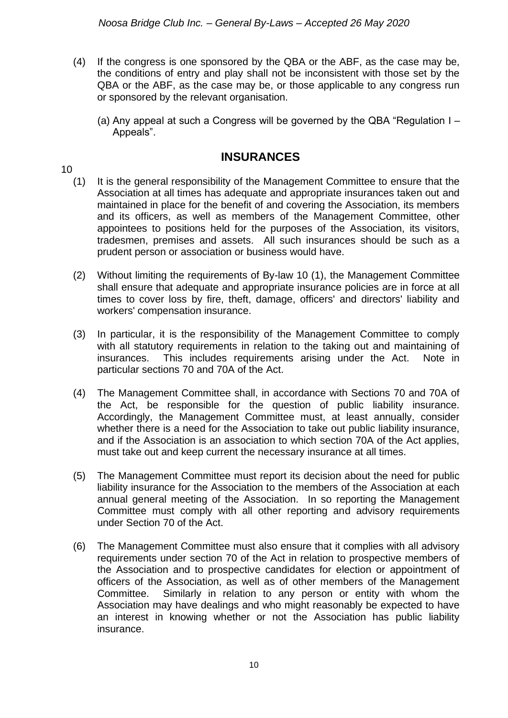- (4) If the congress is one sponsored by the QBA or the ABF, as the case may be, the conditions of entry and play shall not be inconsistent with those set by the QBA or the ABF, as the case may be, or those applicable to any congress run or sponsored by the relevant organisation.
	- (a) Any appeal at such a Congress will be governed by the QBA "Regulation I Appeals".

#### **INSURANCES**

10

- (1) It is the general responsibility of the Management Committee to ensure that the Association at all times has adequate and appropriate insurances taken out and maintained in place for the benefit of and covering the Association, its members and its officers, as well as members of the Management Committee, other appointees to positions held for the purposes of the Association, its visitors, tradesmen, premises and assets. All such insurances should be such as a prudent person or association or business would have.
- (2) Without limiting the requirements of By-law 10 (1), the Management Committee shall ensure that adequate and appropriate insurance policies are in force at all times to cover loss by fire, theft, damage, officers' and directors' liability and workers' compensation insurance.
- (3) In particular, it is the responsibility of the Management Committee to comply with all statutory requirements in relation to the taking out and maintaining of insurances. This includes requirements arising under the Act. Note in particular sections 70 and 70A of the Act.
- (4) The Management Committee shall, in accordance with Sections 70 and 70A of the Act, be responsible for the question of public liability insurance. Accordingly, the Management Committee must, at least annually, consider whether there is a need for the Association to take out public liability insurance, and if the Association is an association to which section 70A of the Act applies, must take out and keep current the necessary insurance at all times.
- (5) The Management Committee must report its decision about the need for public liability insurance for the Association to the members of the Association at each annual general meeting of the Association. In so reporting the Management Committee must comply with all other reporting and advisory requirements under Section 70 of the Act.
- (6) The Management Committee must also ensure that it complies with all advisory requirements under section 70 of the Act in relation to prospective members of the Association and to prospective candidates for election or appointment of officers of the Association, as well as of other members of the Management Committee. Similarly in relation to any person or entity with whom the Association may have dealings and who might reasonably be expected to have an interest in knowing whether or not the Association has public liability insurance.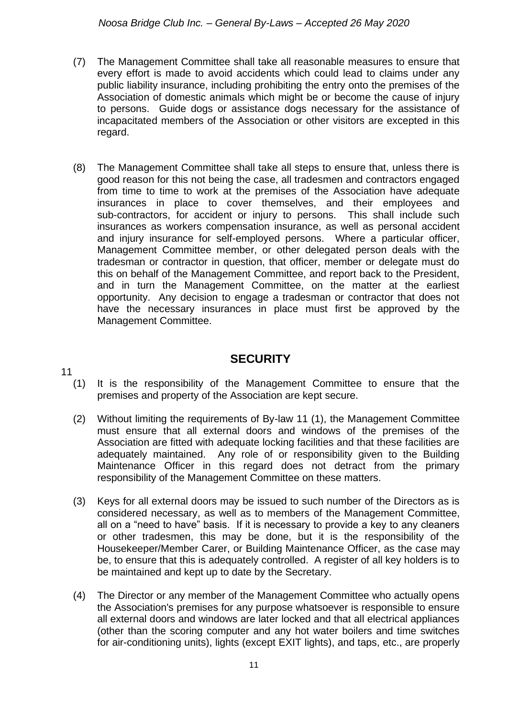- (7) The Management Committee shall take all reasonable measures to ensure that every effort is made to avoid accidents which could lead to claims under any public liability insurance, including prohibiting the entry onto the premises of the Association of domestic animals which might be or become the cause of injury to persons. Guide dogs or assistance dogs necessary for the assistance of incapacitated members of the Association or other visitors are excepted in this regard.
- (8) The Management Committee shall take all steps to ensure that, unless there is good reason for this not being the case, all tradesmen and contractors engaged from time to time to work at the premises of the Association have adequate insurances in place to cover themselves, and their employees and sub-contractors, for accident or injury to persons. This shall include such insurances as workers compensation insurance, as well as personal accident and injury insurance for self-employed persons. Where a particular officer, Management Committee member, or other delegated person deals with the tradesman or contractor in question, that officer, member or delegate must do this on behalf of the Management Committee, and report back to the President, and in turn the Management Committee, on the matter at the earliest opportunity. Any decision to engage a tradesman or contractor that does not have the necessary insurances in place must first be approved by the Management Committee.

#### **SECURITY**

- 11
	- (1) It is the responsibility of the Management Committee to ensure that the premises and property of the Association are kept secure.
	- (2) Without limiting the requirements of By-law 11 (1), the Management Committee must ensure that all external doors and windows of the premises of the Association are fitted with adequate locking facilities and that these facilities are adequately maintained. Any role of or responsibility given to the Building Maintenance Officer in this regard does not detract from the primary responsibility of the Management Committee on these matters.
	- (3) Keys for all external doors may be issued to such number of the Directors as is considered necessary, as well as to members of the Management Committee, all on a "need to have" basis. If it is necessary to provide a key to any cleaners or other tradesmen, this may be done, but it is the responsibility of the Housekeeper/Member Carer, or Building Maintenance Officer, as the case may be, to ensure that this is adequately controlled. A register of all key holders is to be maintained and kept up to date by the Secretary.
	- (4) The Director or any member of the Management Committee who actually opens the Association's premises for any purpose whatsoever is responsible to ensure all external doors and windows are later locked and that all electrical appliances (other than the scoring computer and any hot water boilers and time switches for air-conditioning units), lights (except EXIT lights), and taps, etc., are properly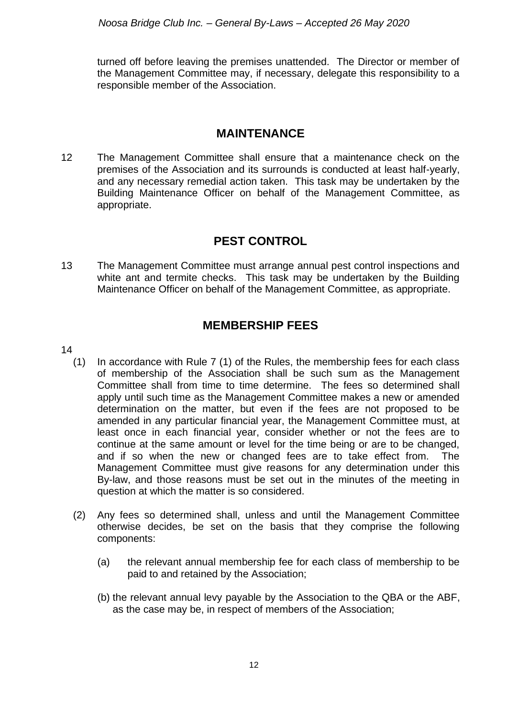turned off before leaving the premises unattended. The Director or member of the Management Committee may, if necessary, delegate this responsibility to a responsible member of the Association.

#### **MAINTENANCE**

12 The Management Committee shall ensure that a maintenance check on the premises of the Association and its surrounds is conducted at least half-yearly, and any necessary remedial action taken. This task may be undertaken by the Building Maintenance Officer on behalf of the Management Committee, as appropriate.

#### **PEST CONTROL**

13 The Management Committee must arrange annual pest control inspections and white ant and termite checks. This task may be undertaken by the Building Maintenance Officer on behalf of the Management Committee, as appropriate.

#### **MEMBERSHIP FEES**

- 14
	- (1) In accordance with Rule 7 (1) of the Rules, the membership fees for each class of membership of the Association shall be such sum as the Management Committee shall from time to time determine. The fees so determined shall apply until such time as the Management Committee makes a new or amended determination on the matter, but even if the fees are not proposed to be amended in any particular financial year, the Management Committee must, at least once in each financial year, consider whether or not the fees are to continue at the same amount or level for the time being or are to be changed, and if so when the new or changed fees are to take effect from. The Management Committee must give reasons for any determination under this By-law, and those reasons must be set out in the minutes of the meeting in question at which the matter is so considered.
	- (2) Any fees so determined shall, unless and until the Management Committee otherwise decides, be set on the basis that they comprise the following components:
		- (a) the relevant annual membership fee for each class of membership to be paid to and retained by the Association;
		- (b) the relevant annual levy payable by the Association to the QBA or the ABF, as the case may be, in respect of members of the Association;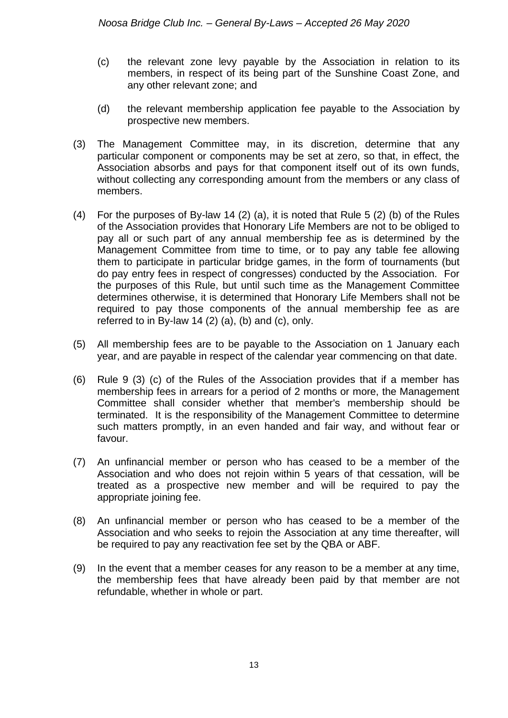- (c) the relevant zone levy payable by the Association in relation to its members, in respect of its being part of the Sunshine Coast Zone, and any other relevant zone; and
- (d) the relevant membership application fee payable to the Association by prospective new members.
- (3) The Management Committee may, in its discretion, determine that any particular component or components may be set at zero, so that, in effect, the Association absorbs and pays for that component itself out of its own funds, without collecting any corresponding amount from the members or any class of members.
- (4) For the purposes of By-law 14 (2) (a), it is noted that Rule 5 (2) (b) of the Rules of the Association provides that Honorary Life Members are not to be obliged to pay all or such part of any annual membership fee as is determined by the Management Committee from time to time, or to pay any table fee allowing them to participate in particular bridge games, in the form of tournaments (but do pay entry fees in respect of congresses) conducted by the Association. For the purposes of this Rule, but until such time as the Management Committee determines otherwise, it is determined that Honorary Life Members shall not be required to pay those components of the annual membership fee as are referred to in By-law 14  $(2)$   $(a)$ ,  $(b)$  and  $(c)$ , only.
- (5) All membership fees are to be payable to the Association on 1 January each year, and are payable in respect of the calendar year commencing on that date.
- (6) Rule 9 (3) (c) of the Rules of the Association provides that if a member has membership fees in arrears for a period of 2 months or more, the Management Committee shall consider whether that member's membership should be terminated. It is the responsibility of the Management Committee to determine such matters promptly, in an even handed and fair way, and without fear or favour.
- (7) An unfinancial member or person who has ceased to be a member of the Association and who does not rejoin within 5 years of that cessation, will be treated as a prospective new member and will be required to pay the appropriate joining fee.
- (8) An unfinancial member or person who has ceased to be a member of the Association and who seeks to rejoin the Association at any time thereafter, will be required to pay any reactivation fee set by the QBA or ABF.
- (9) In the event that a member ceases for any reason to be a member at any time, the membership fees that have already been paid by that member are not refundable, whether in whole or part.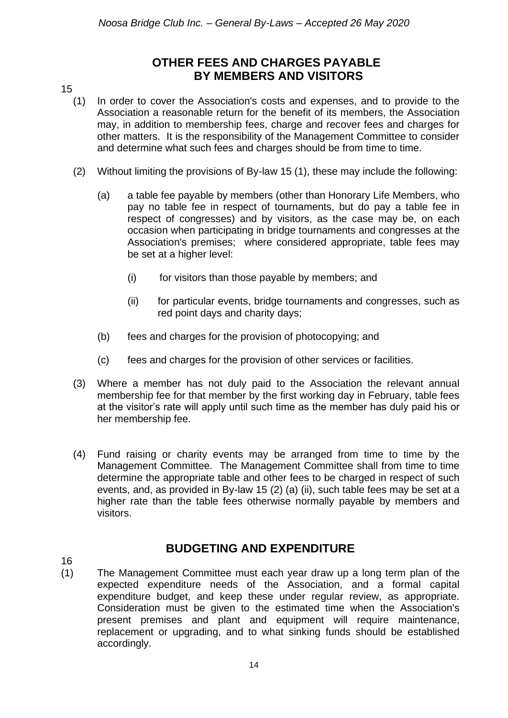#### **OTHER FEES AND CHARGES PAYABLE BY MEMBERS AND VISITORS**

#### 15

- (1) In order to cover the Association's costs and expenses, and to provide to the Association a reasonable return for the benefit of its members, the Association may, in addition to membership fees, charge and recover fees and charges for other matters. It is the responsibility of the Management Committee to consider and determine what such fees and charges should be from time to time.
- (2) Without limiting the provisions of By-law 15 (1), these may include the following:
	- (a) a table fee payable by members (other than Honorary Life Members, who pay no table fee in respect of tournaments, but do pay a table fee in respect of congresses) and by visitors, as the case may be, on each occasion when participating in bridge tournaments and congresses at the Association's premises; where considered appropriate, table fees may be set at a higher level:
		- (i) for visitors than those payable by members; and
		- (ii) for particular events, bridge tournaments and congresses, such as red point days and charity days;
	- (b) fees and charges for the provision of photocopying; and
	- (c) fees and charges for the provision of other services or facilities.
- (3) Where a member has not duly paid to the Association the relevant annual membership fee for that member by the first working day in February, table fees at the visitor's rate will apply until such time as the member has duly paid his or her membership fee.
- (4) Fund raising or charity events may be arranged from time to time by the Management Committee. The Management Committee shall from time to time determine the appropriate table and other fees to be charged in respect of such events, and, as provided in By-law 15 (2) (a) (ii), such table fees may be set at a higher rate than the table fees otherwise normally payable by members and visitors.

#### 16

#### **BUDGETING AND EXPENDITURE**

(1) The Management Committee must each year draw up a long term plan of the expected expenditure needs of the Association, and a formal capital expenditure budget, and keep these under regular review, as appropriate. Consideration must be given to the estimated time when the Association's present premises and plant and equipment will require maintenance, replacement or upgrading, and to what sinking funds should be established accordingly.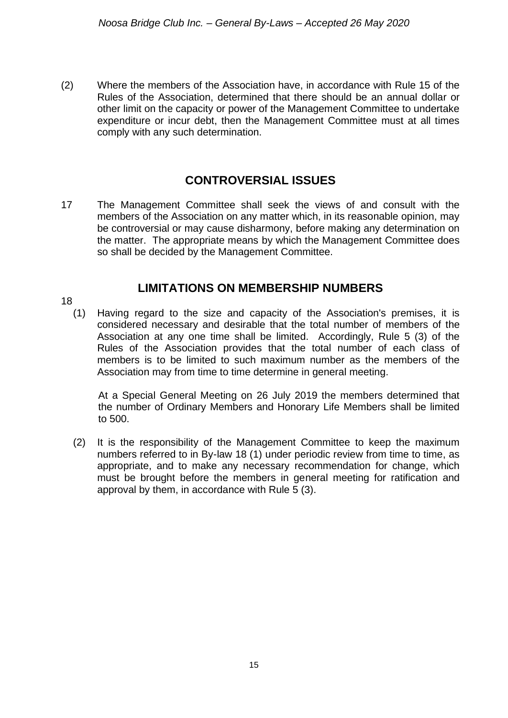(2) Where the members of the Association have, in accordance with Rule 15 of the Rules of the Association, determined that there should be an annual dollar or other limit on the capacity or power of the Management Committee to undertake expenditure or incur debt, then the Management Committee must at all times comply with any such determination.

#### **CONTROVERSIAL ISSUES**

17 The Management Committee shall seek the views of and consult with the members of the Association on any matter which, in its reasonable opinion, may be controversial or may cause disharmony, before making any determination on the matter. The appropriate means by which the Management Committee does so shall be decided by the Management Committee.

#### **LIMITATIONS ON MEMBERSHIP NUMBERS**

18

(1) Having regard to the size and capacity of the Association's premises, it is considered necessary and desirable that the total number of members of the Association at any one time shall be limited. Accordingly, Rule 5 (3) of the Rules of the Association provides that the total number of each class of members is to be limited to such maximum number as the members of the Association may from time to time determine in general meeting.

At a Special General Meeting on 26 July 2019 the members determined that the number of Ordinary Members and Honorary Life Members shall be limited to 500.

(2) It is the responsibility of the Management Committee to keep the maximum numbers referred to in By-law 18 (1) under periodic review from time to time, as appropriate, and to make any necessary recommendation for change, which must be brought before the members in general meeting for ratification and approval by them, in accordance with Rule 5 (3).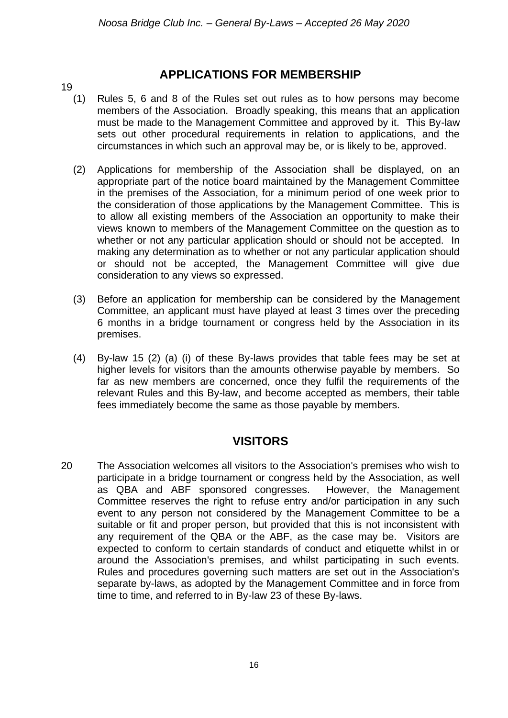#### 19

#### **APPLICATIONS FOR MEMBERSHIP**

- (1) Rules 5, 6 and 8 of the Rules set out rules as to how persons may become members of the Association. Broadly speaking, this means that an application must be made to the Management Committee and approved by it. This By-law sets out other procedural requirements in relation to applications, and the circumstances in which such an approval may be, or is likely to be, approved.
- (2) Applications for membership of the Association shall be displayed, on an appropriate part of the notice board maintained by the Management Committee in the premises of the Association, for a minimum period of one week prior to the consideration of those applications by the Management Committee. This is to allow all existing members of the Association an opportunity to make their views known to members of the Management Committee on the question as to whether or not any particular application should or should not be accepted. In making any determination as to whether or not any particular application should or should not be accepted, the Management Committee will give due consideration to any views so expressed.
- (3) Before an application for membership can be considered by the Management Committee, an applicant must have played at least 3 times over the preceding 6 months in a bridge tournament or congress held by the Association in its premises.
- (4) By-law 15 (2) (a) (i) of these By-laws provides that table fees may be set at higher levels for visitors than the amounts otherwise payable by members. So far as new members are concerned, once they fulfil the requirements of the relevant Rules and this By-law, and become accepted as members, their table fees immediately become the same as those payable by members.

#### **VISITORS**

20 The Association welcomes all visitors to the Association's premises who wish to participate in a bridge tournament or congress held by the Association, as well as QBA and ABF sponsored congresses. However, the Management Committee reserves the right to refuse entry and/or participation in any such event to any person not considered by the Management Committee to be a suitable or fit and proper person, but provided that this is not inconsistent with any requirement of the QBA or the ABF, as the case may be. Visitors are expected to conform to certain standards of conduct and etiquette whilst in or around the Association's premises, and whilst participating in such events. Rules and procedures governing such matters are set out in the Association's separate by-laws, as adopted by the Management Committee and in force from time to time, and referred to in By-law 23 of these By-laws.